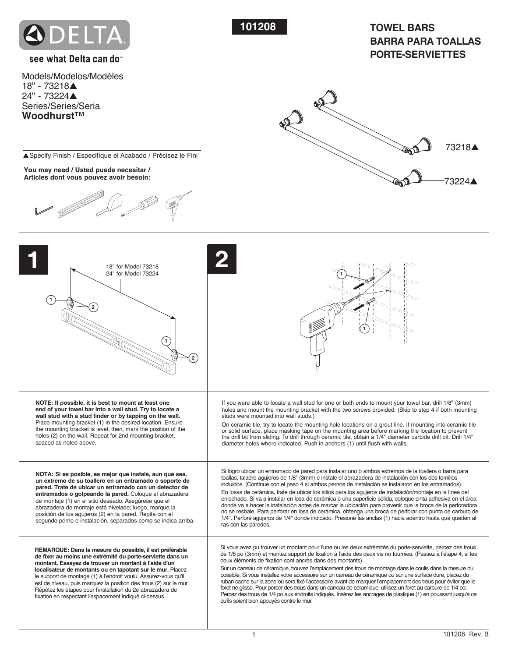

**101208 TOWEL BARS BARRA PARA TOALLAS PORTE-SERVIETTES**

# see what Delta can do

Models/Modelos/Modèles 18" - 73218▲ 24" - 73224▲ Series/Series/Seria **Woodhurst™**



▲Specify Finish / Especifíque el Acabado / Précisez le Fini

**You may need / Usted puede necesitar / Articles dont vous pouvez avoir besoin:**



| 18" for Model 73218<br>24" for Model 73224                                                                                                                                                                                                                                                                                                                                                                                                                                                                  |                                                                                                                                                                                                                                                                                                                                                                                                                                                                                                                                                                                                                                                                                                                                                                                                                                                                                                                   |
|-------------------------------------------------------------------------------------------------------------------------------------------------------------------------------------------------------------------------------------------------------------------------------------------------------------------------------------------------------------------------------------------------------------------------------------------------------------------------------------------------------------|-------------------------------------------------------------------------------------------------------------------------------------------------------------------------------------------------------------------------------------------------------------------------------------------------------------------------------------------------------------------------------------------------------------------------------------------------------------------------------------------------------------------------------------------------------------------------------------------------------------------------------------------------------------------------------------------------------------------------------------------------------------------------------------------------------------------------------------------------------------------------------------------------------------------|
| NOTE: If possible, it is best to mount at least one<br>end of your towel bar into a wall stud. Try to locate a<br>wall stud with a stud finder or by tapping on the wall.<br>Place mounting bracket (1) in the desired location. Ensure<br>the mounting bracket is level; then, mark the position of the<br>holes (2) on the wall. Repeat for 2nd mounting bracket,<br>spaced as noted above.                                                                                                               | If you were able to locate a wall stud for one or both ends to mount your towel bar, drill 1/8" (3mm)<br>holes and mount the mounting bracket with the two screws provided. (Skip to step 4 if both mounting<br>studs were mounted into wall studs.)<br>On ceramic tile, try to locate the mounting hole locations on a grout line. If mounting into ceramic tile<br>or solid surface, place masking tape on the mounting area before marking the location to prevent<br>the drill bit from sliding. To drill through ceramic tile, obtain a 1/4" diameter carbide drill bit. Drill 1/4"<br>diameter holes where indicated. Push in anchors (1) until flush with walls.                                                                                                                                                                                                                                           |
| NOTA: Si es posible, es mejor que instale, aun que sea,<br>un extremo de su toallero en un entramado o soporte de<br>pared. Trate de ubicar un entramado con un detector de<br>entramados o golpeando la pared. Cologue el abrazadera<br>de montaje (1) en el sitio deseado. Asegúrese que el<br>abrazadera de montaje está nivelado; luego, marque la<br>posición de los agujeros (2) en la pared. Repita con el<br>segundo perno e instalación, separados como se indica arriba.                          | Si logró ubicar un entramado de pared para instalar uno ó ambos extremos de la toallera o barra para<br>toallas, taladre agujeros de 1/8" (3mm) e instale el abrazadera de instalación con los dos tornillos<br>incluidos. (Continue con el paso 4 si ambos pernos de instalación se instalaron en los entramados).<br>En losas de cerámica, trate de ubicar los sitios para los aquieros de instalación/montaje en la línea del<br>enlechado. Si va a instalar en losa de cerámica o una superficie sólida, coloque cinta adhesiva en el área<br>donde va a hacer la instalación antes de marcar la ubicación para prevenir que la broca de la perforadora<br>no se resbale. Para perforar en losa de cerámica, obtenga una broca de perforar con punta de carburo de<br>1/4". Perfore aquieros de 1/4" donde indicado. Presione las anclas (1) hacia adentro hasta que queden al<br>ras con las paredes.        |
| REMARQUE: Dans la mesure du possible, il est préférable<br>de fixer au moins une extrémité du porte-serviette dans un<br>montant. Essayez de trouver un montant à l'aide d'un<br>localisateur de montants ou en tapotant sur le mur. Placez<br>le support de montage (1) à l'endroit voulu. Assurez-vous qu'il<br>est de niveau, puis marquez la position des trous (2) sur le mur.<br>Répétez les étapes pour l'installation du 2e abrazadera de<br>fixation en respectant l'espacement indiqué ci-dessus. | Si vous avez pu trouver un montant pour l'une ou les deux extrémités du porte-serviette, percez des trous<br>de 1/8 po (3mm) et montez support de fixation à l'aide des deux vis no fournies. (Passez à l'étape 4, si les<br>deux éléments de fixation sont ancrés dans des montants).<br>Sur un carreau de céramique, trouvez l'emplacement des trous de montage dans le coulis dans la mesure du<br>possible. Si vous installez votre accessoire sur un carreau de céramique ou sur une surface dure, placez du<br>ruban cache sur la zone où sera fixé l'accessoire avant de marquer l'emplacement des trous pour éviter que le<br>foret ne glisse. Pour percer des trous dans un carreau de céramique, utilisez un foret au carbure de 1/4 po.<br>Percez des trous de 1/4 po aux endroits indiqués. Insérez les ancrages de plastique (1) en poussant jusqu'à ce<br>qu'ils soient bien appuyés contre le mur. |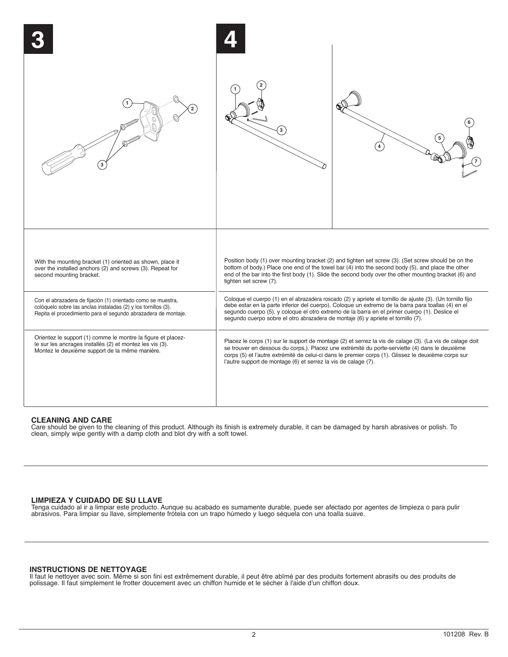

## **CLEANING AND CARE**

Care should be given to the cleaning of this product. Although its finish is extremely durable, it can be damaged by harsh abrasives or polish. To clean, simply wipe gently with a damp cloth and blot dry with a soft towel.

## **LIMPIEZA Y CUIDADO DE SU LLAVE**

Tenga cuidado al ir a limpiar este producto. Aunque su acabado es sumamente durable, puede ser afectado por agentes de limpieza o para pulir abrasivos. Para limpiar su llave, simplemente frótela con un trapo húmedo y luego séquela con una toalla suave.

### **INSTRUCTIONS DE NETTOYAGE**

Il faut le nettoyer avec soin. Même si son fini est extrêmement durable, il peut être abîmé par des produits fortement abrasifs ou des produits de polissage. Il faut simplement le frotter doucement avec un chiffon humide et le sécher à l'aide d'un chiffon doux.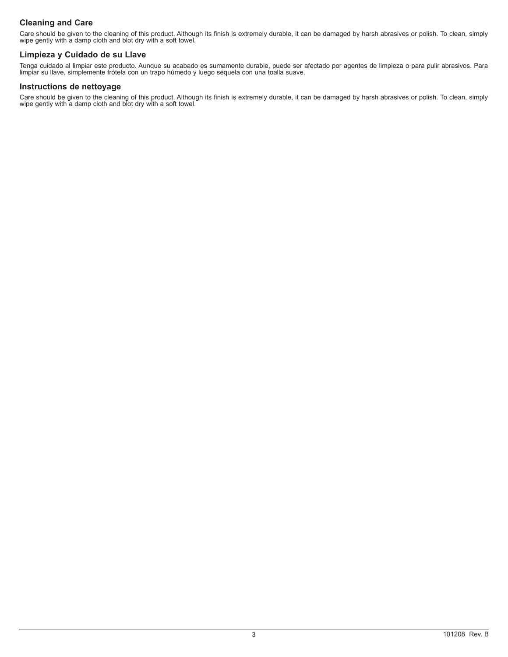# **Cleaning and Care**

Care should be given to the cleaning of this product. Although its finish is extremely durable, it can be damaged by harsh abrasives or polish. To clean, simply wipe gently with a damp cloth and blot dry with a soft towel.

## **Limpieza y Cuidado de su Llave**

Tenga cuidado al limpiar este producto. Aunque su acabado es sumamente durable, puede ser afectado por agentes de limpieza o para pulir abrasivos. Para limpiar su llave, simplemente frótela con un trapo húmedo y luego séquela con una toalla suave.

## **Instructions de nettoyage**

Care should be given to the cleaning of this product. Although its finish is extremely durable, it can be damaged by harsh abrasives or polish. To clean, simply wipe gently with a damp cloth and blot dry with a soft towel.